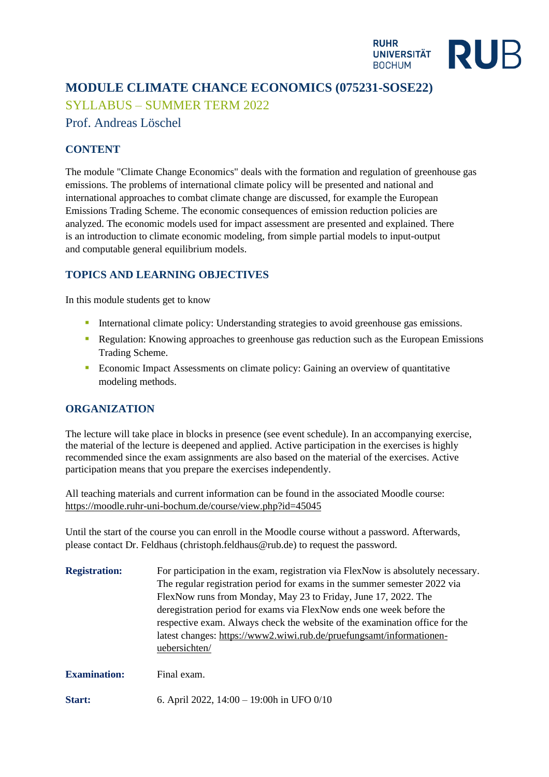

# **MODULE CLIMATE CHANCE ECONOMICS (075231-SOSE22)**

SYLLABUS – SUMMER TERM 2022

# Prof. Andreas Löschel

### **CONTENT**

The module "Climate Change Economics" deals with the formation and regulation of greenhouse gas emissions. The problems of international climate policy will be presented and national and international approaches to combat climate change are discussed, for example the European Emissions Trading Scheme. The economic consequences of emission reduction policies are analyzed. The economic models used for impact assessment are presented and explained. There is an introduction to climate economic modeling, from simple partial models to input-output and computable general equilibrium models.

## **TOPICS AND LEARNING OBJECTIVES**

In this module students get to know

- International climate policy: Understanding strategies to avoid greenhouse gas emissions.
- **Regulation:** Knowing approaches to greenhouse gas reduction such as the European Emissions Trading Scheme.
- Economic Impact Assessments on climate policy: Gaining an overview of quantitative modeling methods.

### **ORGANIZATION**

The lecture will take place in blocks in presence (see event schedule). In an accompanying exercise, the material of the lecture is deepened and applied. Active participation in the exercises is highly recommended since the exam assignments are also based on the material of the exercises. Active participation means that you prepare the exercises independently.

All teaching materials and current information can be found in the associated Moodle course: <https://moodle.ruhr-uni-bochum.de/course/view.php?id=45045>

Until the start of the course you can enroll in the Moodle course without a password. Afterwards, please contact Dr. Feldhaus (christoph.feldhaus@rub.de) to request the password.

| <b>Registration:</b> | For participation in the exam, registration via FlexNow is absolutely necessary.<br>The regular registration period for exams in the summer semester 2022 via<br>FlexNow runs from Monday, May 23 to Friday, June 17, 2022. The<br>deregistration period for exams via FlexNow ends one week before the<br>respective exam. Always check the website of the examination office for the<br>latest changes: https://www2.wiwi.rub.de/pruefungsamt/informationen-<br>uebersichten/ |
|----------------------|---------------------------------------------------------------------------------------------------------------------------------------------------------------------------------------------------------------------------------------------------------------------------------------------------------------------------------------------------------------------------------------------------------------------------------------------------------------------------------|
| <b>Examination:</b>  | Final exam.                                                                                                                                                                                                                                                                                                                                                                                                                                                                     |

**Start:** 6. April 2022, 14:00 – 19:00h in UFO 0/10